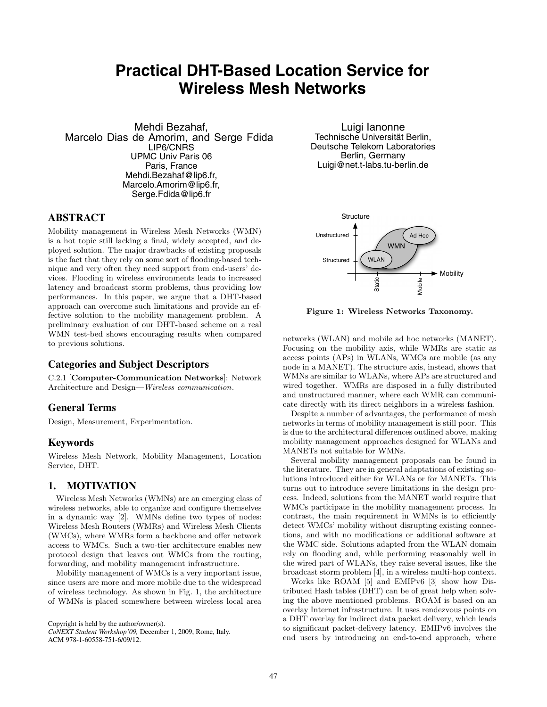# **Practical DHT-Based Location Service for Wireless Mesh Networks**

Mehdi Bezahaf,<br>Marcelo Dias de Amorim, and Serge Fdida LIP6/CNRS UPMC Univ Paris 06 Paris, France Mehdi.Bezahaf@lip6.fr, Marcelo.Amorim@lip6.fr, Serge.Fdida@lip6.fr

# **ABSTRACT**

Mobility management in Wireless Mesh Networks (WMN) is a hot topic still lacking a final, widely accepted, and deployed solution. The major drawbacks of existing proposals is the fact that they rely on some sort of flooding-based technique and very often they need support from end-users' devices. Flooding in wireless environments leads to increased latency and broadcast storm problems, thus providing low performances. In this paper, we argue that a DHT-based approach can overcome such limitations and provide an effective solution to the mobility management problem. A preliminary evaluation of our DHT-based scheme on a real WMN test-bed shows encouraging results when compared to previous solutions.

# **Categories and Subject Descriptors**

C.2.1 [**Computer-Communication Networks**]: Network Architecture and Design—*Wireless communication*.

#### **General Terms**

Design, Measurement, Experimentation.

#### **Keywords**

Wireless Mesh Network, Mobility Management, Location Service, DHT.

## **1. MOTIVATION**

Wireless Mesh Networks (WMNs) are an emerging class of wireless networks, able to organize and configure themselves in a dynamic way [2]. WMNs define two types of nodes: Wireless Mesh Routers (WMRs) and Wireless Mesh Clients (WMCs), where WMRs form a backbone and offer network access to WMCs. Such a two-tier architecture enables new protocol design that leaves out WMCs from the routing, forwarding, and mobility management infrastructure.

Mobility management of WMCs is a very important issue, since users are more and more mobile due to the widespread of wireless technology. As shown in Fig. 1, the architecture of WMNs is placed somewhere between wireless local area

Copyright is held by the author/owner(s).

Luigi Ianonne Technische Universität Berlin, Deutsche Telekom Laboratories Berlin, Germany Luigi@net.t-labs.tu-berlin.de



**Figure 1: Wireless Networks Taxonomy.**

networks (WLAN) and mobile ad hoc networks (MANET). Focusing on the mobility axis, while WMRs are static as access points (APs) in WLANs, WMCs are mobile (as any node in a MANET). The structure axis, instead, shows that WMNs are similar to WLANs, where APs are structured and wired together. WMRs are disposed in a fully distributed and unstructured manner, where each WMR can communicate directly with its direct neighbors in a wireless fashion.

Despite a number of advantages, the performance of mesh networks in terms of mobility management is still poor. This is due to the architectural differences outlined above, making mobility management approaches designed for WLANs and MANETs not suitable for WMNs.

Several mobility management proposals can be found in the literature. They are in general adaptations of existing solutions introduced either for WLANs or for MANETs. This turns out to introduce severe limitations in the design process. Indeed, solutions from the MANET world require that WMCs participate in the mobility management process. In contrast, the main requirement in WMNs is to efficiently detect WMCs' mobility without disrupting existing connections, and with no modifications or additional software at the WMC side. Solutions adapted from the WLAN domain rely on flooding and, while performing reasonably well in the wired part of WLANs, they raise several issues, like the broadcast storm problem [4], in a wireless multi-hop context.

Works like ROAM [5] and EMIPv6 [3] show how Distributed Hash tables (DHT) can be of great help when solving the above mentioned problems. ROAM is based on an overlay Internet infrastructure. It uses rendezvous points on a DHT overlay for indirect data packet delivery, which leads to significant packet-delivery latency. EMIPv6 involves the end users by introducing an end-to-end approach, where

*CoNEXT Student Workshop'09,* December 1, 2009, Rome, Italy. ACM 978-1-60558-751-6/09/12.